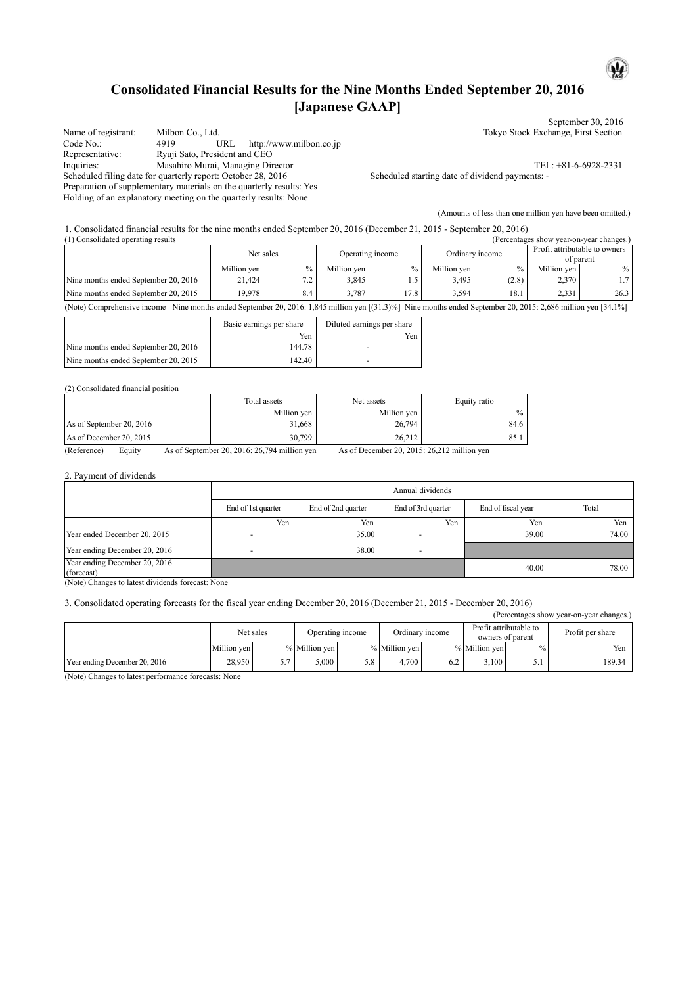### **Consolidated Financial Results for the Nine Months Ended September 20, 2016 [Japanese GAAP]**

| Name of registrant:                                                                                                                      | Milbon Co., Ltd.   |                               |                                   |  |  |  |
|------------------------------------------------------------------------------------------------------------------------------------------|--------------------|-------------------------------|-----------------------------------|--|--|--|
| Code No.                                                                                                                                 | 4919               | URL                           | http://www.milbon.co.jp           |  |  |  |
| Representative:                                                                                                                          |                    | Ryuji Sato, President and CEO |                                   |  |  |  |
| Inquiries:                                                                                                                               |                    |                               | Masahiro Murai, Managing Director |  |  |  |
| Scheduled filing date for quarterly report: October 28, 2016                                                                             | Scheduled starting |                               |                                   |  |  |  |
| Preparation of supplementary materials on the quarterly results: Yes<br>Holding of an explanatory meeting on the quarterly results: None |                    |                               |                                   |  |  |  |

September 30, 2016 Tokyo Stock Exchange, First Section

Inquiries: Masahiro Murai, Managing Director TEL: +81-6-6928-2331

 $\mathbf{u}$ 

date of dividend payments: -

(Amounts of less than one million yen have been omitted.)

1. Consolidated financial results for the nine months ended September 20, 2016 (December 21, 2015 - September 20, 2016)

| (1) Consolidated operating results<br>(Percentages show year-on-year changes.)                                                                                |             |                  |                  |        |                 |       |                                            |        |  |
|---------------------------------------------------------------------------------------------------------------------------------------------------------------|-------------|------------------|------------------|--------|-----------------|-------|--------------------------------------------|--------|--|
| Net sales                                                                                                                                                     |             |                  | Operating income |        | Ordinary income |       | Profit attributable to owners<br>of parent |        |  |
|                                                                                                                                                               | Million yen | $\%$             | Million yen      | $\%$ . | Million yen     | $\%$  | Million yen                                | $\%$ 1 |  |
| Nine months ended September 20, 2016                                                                                                                          | 21.424      | 7.2 <sub>1</sub> | 3,845            | 1.5    | 3,495           | (2.8) | 2,370                                      | 1.7    |  |
| Nine months ended September 20, 2015                                                                                                                          | 19.978      | 8.4              | 3.787            | 17.8   | 3.594           | 18.1  | 2.331                                      | 26.3   |  |
| $(0.1 \pm 0.01)$ $(1.1 \pm 1.1)$ $(1.10 \pm 1.000)$ $(1.00 \pm 0.01)$ $(1.10 \pm 0.00)$ $(1.10 \pm 1.10)$ $(1.00 \pm 0.00)$ $(1.10 \pm 1.0)$ $(1.10 \pm 1.0)$ |             |                  |                  |        |                 |       |                                            |        |  |

(Note) Comprehensive income Nine months ended September 20, 2016: 1,845 million yen [(31.3)%] Nine months ended September 20, 2015: 2,686 million yen [34.1%]

|                                      | Basic earnings per share | Diluted earnings per share |
|--------------------------------------|--------------------------|----------------------------|
|                                      | Yen                      | Yen                        |
| Nine months ended September 20, 2016 | 144.78                   |                            |
| Nine months ended September 20, 2015 | 142.40                   |                            |

#### (2) Consolidated financial position

|                                                          | Total assets | Net assets    | Equity ratio            |
|----------------------------------------------------------|--------------|---------------|-------------------------|
|                                                          | Million yen  | Million yen   | $\%$                    |
| As of September 20, 2016                                 | 31,668       | 26,794        | 84.6                    |
| As of December 20, 2015                                  | 30,799       | 26,212        | 85.1                    |
| $\sim$<br>$\sim$ $\sim$ $\sim$ $\sim$ $\sim$<br>$\cdots$ | 20.2016.25   | $\sim$ $\sim$ | $0.0.015$ $0.012$ $111$ |

(Reference) Equity As of September 20, 2016: 26,794 million yen As of December 20, 2015: 26,212 million yen

#### 2. Payment of dividends

|                                             |                    | Annual dividends   |                          |                    |       |  |  |  |  |  |  |  |
|---------------------------------------------|--------------------|--------------------|--------------------------|--------------------|-------|--|--|--|--|--|--|--|
|                                             | End of 1st quarter | End of 2nd quarter | End of 3rd quarter       | End of fiscal year | Total |  |  |  |  |  |  |  |
|                                             | Yen                | Yen                | Yen                      | Yen                | Yen   |  |  |  |  |  |  |  |
| Year ended December 20, 2015                |                    | 35.00              |                          | 39.00              | 74.00 |  |  |  |  |  |  |  |
| Year ending December 20, 2016               | $\sim$             | 38.00              | $\overline{\phantom{0}}$ |                    |       |  |  |  |  |  |  |  |
| Year ending December 20, 2016<br>(forecast) |                    |                    |                          | 40.00              | 78.00 |  |  |  |  |  |  |  |

(Note) Changes to latest dividends forecast: None

### 3. Consolidated operating forecasts for the fiscal year ending December 20, 2016 (December 21, 2015 - December 20, 2016)

(Percentages show year-on-year changes.)

|                                                                                                                                                                               |             | Net sales | Operating income |     | Ordinary income |     | Profit attributable to<br>owners of parent |      | Profit per share |  |
|-------------------------------------------------------------------------------------------------------------------------------------------------------------------------------|-------------|-----------|------------------|-----|-----------------|-----|--------------------------------------------|------|------------------|--|
|                                                                                                                                                                               | Million yen |           | % Million yen    |     | % Million yen   |     | % Million yen                              | $\%$ | Yen              |  |
| Year ending December 20, 2016                                                                                                                                                 | 28.950      |           | 000.6            | 5.8 | 4.700           | 6.2 | 3.100                                      |      | 189.34           |  |
| $\Lambda$ <sub>1</sub> ++ $\Lambda$ <sub>1</sub> $\ldots$ $\ldots$ $\ldots$ 1+ $\ldots$ $\ldots$ $\ldots$ $\ldots$ $\ldots$ $\ldots$ $\ldots$ $\Lambda$ <sub>1</sub> $\ldots$ |             |           |                  |     |                 |     |                                            |      |                  |  |

(Note) Changes to latest performance forecasts: None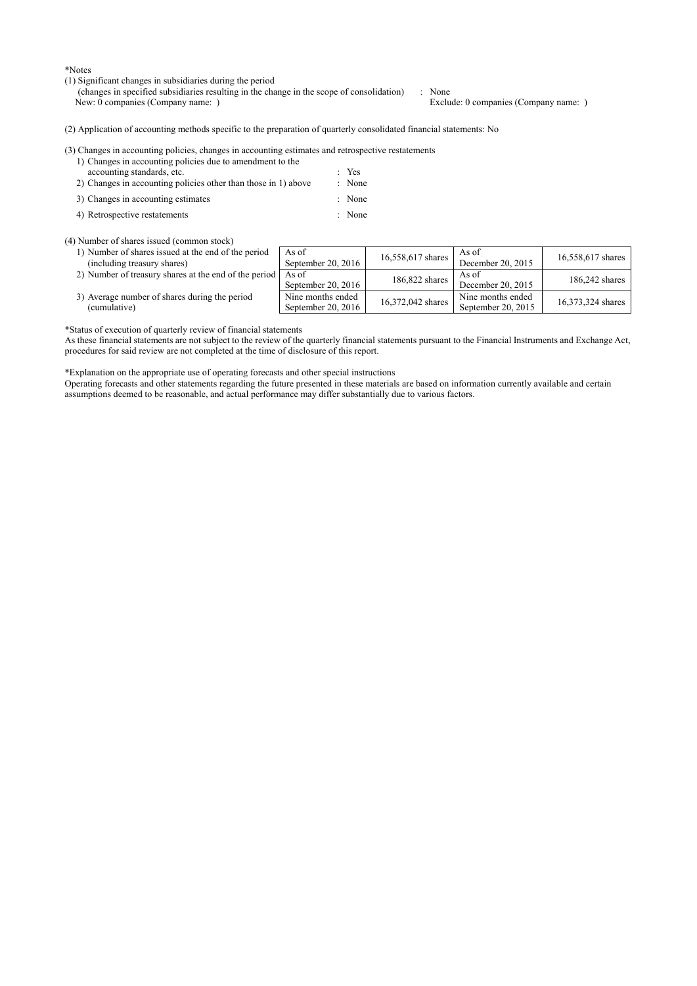\*Notes

- (1) Significant changes in subsidiaries during the period
	- (changes in specified subsidiaries resulting in the change in the scope of consolidation) : None<br>New: 0 companies (Company name: ) Exclu Exclude: 0 companies (Company name: )

(2) Application of accounting methods specific to the preparation of quarterly consolidated financial statements: No

| (3) Changes in accounting policies, changes in accounting estimates and retrospective restatements |  |
|----------------------------------------------------------------------------------------------------|--|
| 1) Changes in accounting policies due to amendment to the                                          |  |

| accounting standards, etc.         |                                                                | $Y$ es |
|------------------------------------|----------------------------------------------------------------|--------|
|                                    | 2) Changes in accounting policies other than those in 1) above | : None |
| 3) Changes in accounting estimates |                                                                | : None |

4) Retrospective restatements : None

#### (4) Number of shares issued (common stock)

1) Number of shares issued at the end of the period As of

|                   |                                         | 16,558,617 shares |
|-------------------|-----------------------------------------|-------------------|
|                   | December 20, 2015                       |                   |
|                   | December 20, 2015                       | 186,242 shares    |
| 16,372,042 shares | Nine months ended<br>September 20, 2015 | 16,373,324 shares |
|                   | 186,822 shares                          | As of             |

\*Status of execution of quarterly review of financial statements

As these financial statements are not subject to the review of the quarterly financial statements pursuant to the Financial Instruments and Exchange Act, procedures for said review are not completed at the time of disclosure of this report.

\*Explanation on the appropriate use of operating forecasts and other special instructions

Operating forecasts and other statements regarding the future presented in these materials are based on information currently available and certain assumptions deemed to be reasonable, and actual performance may differ substantially due to various factors.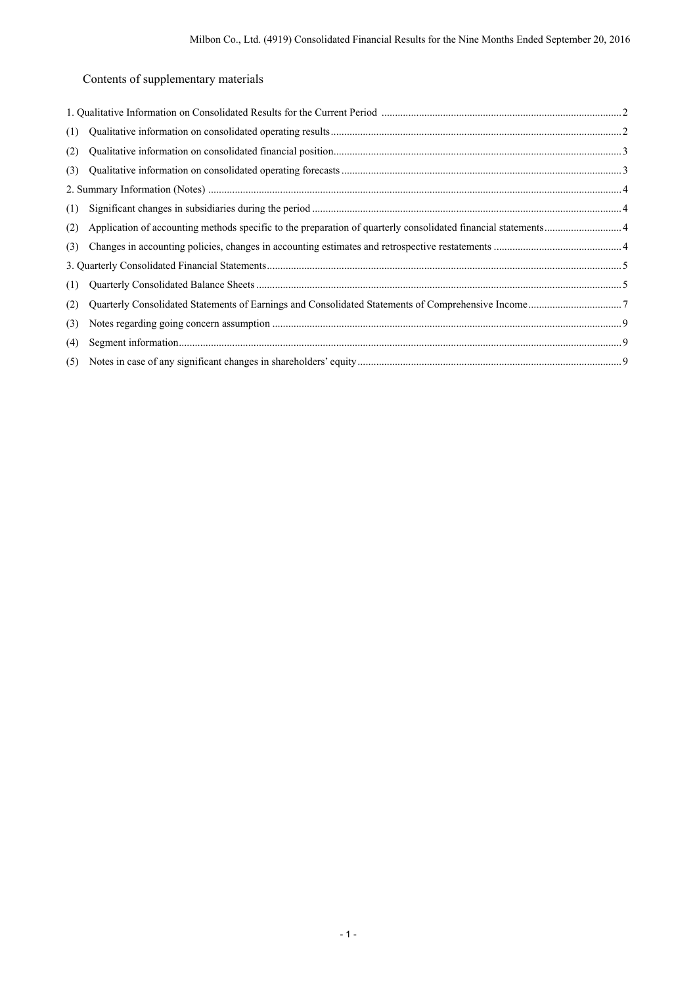# Contents of supplementary materials

| (1) |  |
|-----|--|
| (2) |  |
| (3) |  |
|     |  |
| (1) |  |
| (2) |  |
| (3) |  |
|     |  |
| (1) |  |
| (2) |  |
| (3) |  |
| (4) |  |
| (5) |  |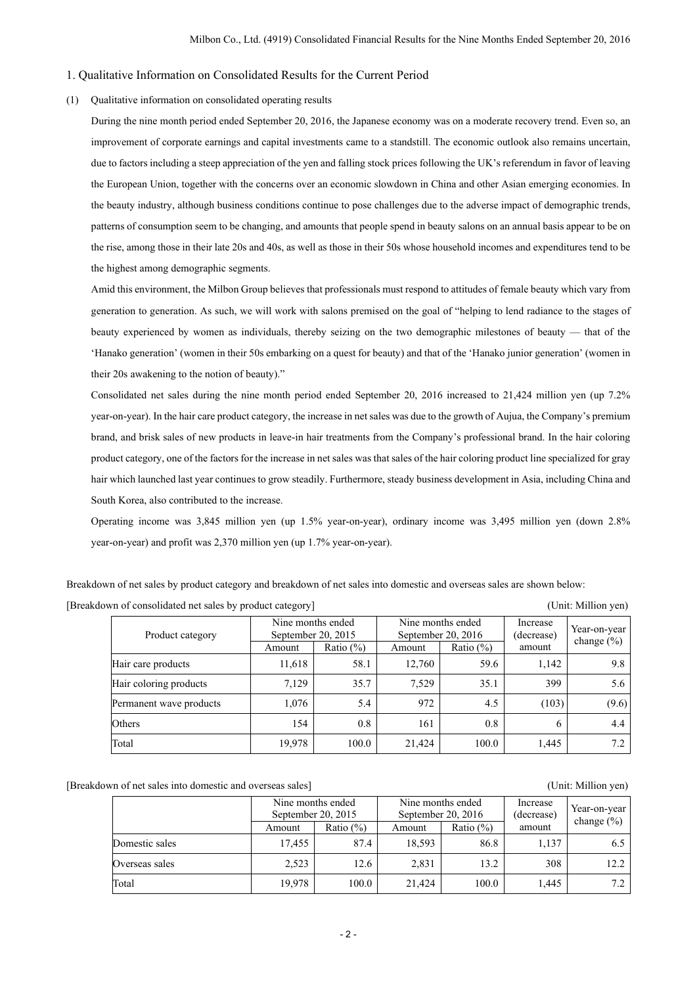#### 1. Qualitative Information on Consolidated Results for the Current Period

#### (1) Qualitative information on consolidated operating results

During the nine month period ended September 20, 2016, the Japanese economy was on a moderate recovery trend. Even so, an improvement of corporate earnings and capital investments came to a standstill. The economic outlook also remains uncertain, due to factors including a steep appreciation of the yen and falling stock prices following the UK's referendum in favor of leaving the European Union, together with the concerns over an economic slowdown in China and other Asian emerging economies. In the beauty industry, although business conditions continue to pose challenges due to the adverse impact of demographic trends, patterns of consumption seem to be changing, and amounts that people spend in beauty salons on an annual basis appear to be on the rise, among those in their late 20s and 40s, as well as those in their 50s whose household incomes and expenditures tend to be the highest among demographic segments.

Amid this environment, the Milbon Group believes that professionals must respond to attitudes of female beauty which vary from generation to generation. As such, we will work with salons premised on the goal of "helping to lend radiance to the stages of beauty experienced by women as individuals, thereby seizing on the two demographic milestones of beauty — that of the 'Hanako generation' (women in their 50s embarking on a quest for beauty) and that of the 'Hanako junior generation' (women in their 20s awakening to the notion of beauty)."

Consolidated net sales during the nine month period ended September 20, 2016 increased to 21,424 million yen (up 7.2% year-on-year). In the hair care product category, the increase in net sales was due to the growth of Aujua, the Company's premium brand, and brisk sales of new products in leave-in hair treatments from the Company's professional brand. In the hair coloring product category, one of the factors for the increase in net sales was that sales of the hair coloring product line specialized for gray hair which launched last year continues to grow steadily. Furthermore, steady business development in Asia, including China and South Korea, also contributed to the increase.

Operating income was 3,845 million yen (up 1.5% year-on-year), ordinary income was 3,495 million yen (down 2.8% year-on-year) and profit was 2,370 million yen (up 1.7% year-on-year).

Breakdown of net sales by product category and breakdown of net sales into domestic and overseas sales are shown below:

[Breakdown of consolidated net sales by product category] (Unit: Million yen)

| Product category        | Nine months ended<br>September 20, 2015<br>Amount | Ratio $(\% )$ | Amount | Nine months ended<br>September 20, 2016<br>Ratio $(\%)$ | Increase<br>(decrease)<br>amount | Year-on-year<br>change $(\% )$ |
|-------------------------|---------------------------------------------------|---------------|--------|---------------------------------------------------------|----------------------------------|--------------------------------|
| Hair care products      | 11,618                                            | 58.1          | 12,760 | 59.6                                                    | 1,142                            | 9.8                            |
| Hair coloring products  | 7,129                                             | 35.7          | 7.529  | 35.1                                                    | 399                              | 5.6                            |
| Permanent wave products | 1,076                                             | 5.4           | 972    | 4.5                                                     | (103)                            | (9.6)                          |
| Others                  | 154                                               | 0.8           | 161    | 0.8                                                     | 6                                | 4.4                            |
| Total                   | 19,978                                            | 100.0         | 21.424 | 100.0                                                   | 1,445                            | 7.2                            |

[Breakdown of net sales into domestic and overseas sales] (Unit: Million yen)

#### Nine months ended September 20, 2015 Nine months ended September 20, 2016 Increase (decrease) amount Year-on-year Experiment 20, 2019<br>Amount Ratio (%) Amount Ratio (%) amount change (%) Domestic sales 17,455 87.4 18,593 86.8 1,137 6.5 Overseas sales 2,523 12.6 2,831 13.2 308 12.2 Total 19,978 100.0 21,424 100.0 1,445 7.2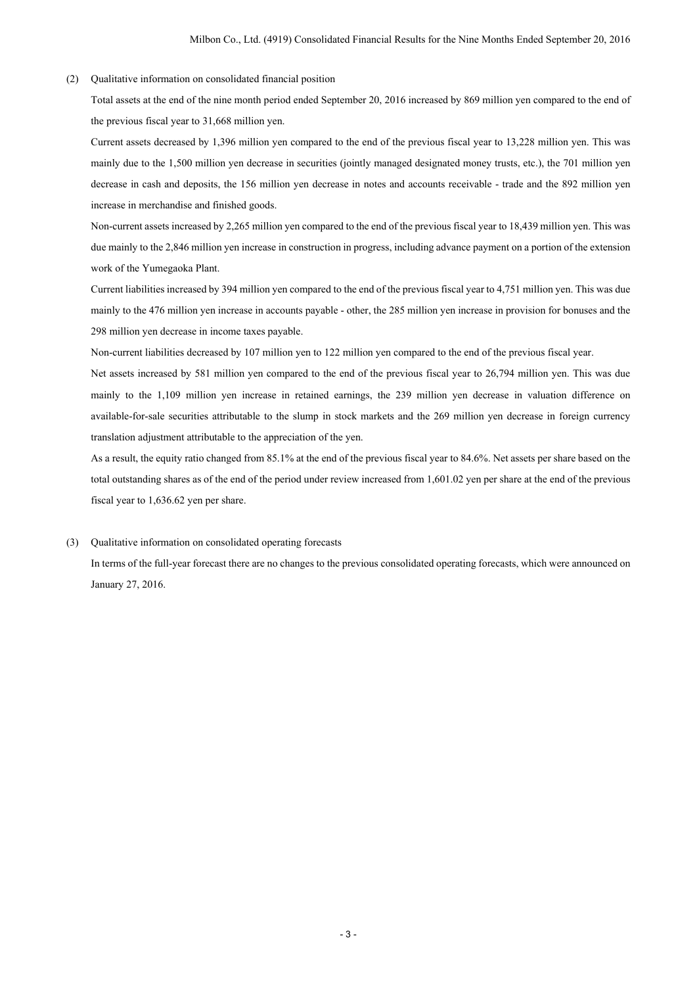(2) Qualitative information on consolidated financial position

Total assets at the end of the nine month period ended September 20, 2016 increased by 869 million yen compared to the end of the previous fiscal year to 31,668 million yen.

Current assets decreased by 1,396 million yen compared to the end of the previous fiscal year to 13,228 million yen. This was mainly due to the 1,500 million yen decrease in securities (jointly managed designated money trusts, etc.), the 701 million yen decrease in cash and deposits, the 156 million yen decrease in notes and accounts receivable - trade and the 892 million yen increase in merchandise and finished goods.

Non-current assets increased by 2,265 million yen compared to the end of the previous fiscal year to 18,439 million yen. This was due mainly to the 2,846 million yen increase in construction in progress, including advance payment on a portion of the extension work of the Yumegaoka Plant.

Current liabilities increased by 394 million yen compared to the end of the previous fiscal year to 4,751 million yen. This was due mainly to the 476 million yen increase in accounts payable - other, the 285 million yen increase in provision for bonuses and the 298 million yen decrease in income taxes payable.

Non-current liabilities decreased by 107 million yen to 122 million yen compared to the end of the previous fiscal year.

Net assets increased by 581 million yen compared to the end of the previous fiscal year to 26,794 million yen. This was due mainly to the 1,109 million yen increase in retained earnings, the 239 million yen decrease in valuation difference on available-for-sale securities attributable to the slump in stock markets and the 269 million yen decrease in foreign currency translation adjustment attributable to the appreciation of the yen.

As a result, the equity ratio changed from 85.1% at the end of the previous fiscal year to 84.6%. Net assets per share based on the total outstanding shares as of the end of the period under review increased from 1,601.02 yen per share at the end of the previous fiscal year to 1,636.62 yen per share.

### (3) Qualitative information on consolidated operating forecasts

In terms of the full-year forecast there are no changes to the previous consolidated operating forecasts, which were announced on January 27, 2016.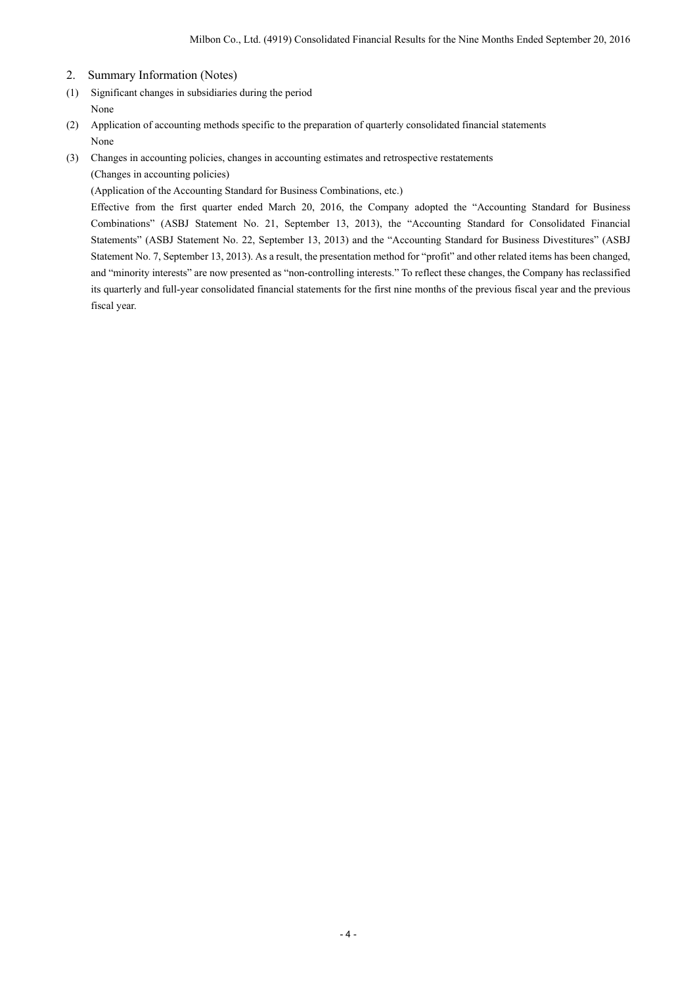- 2. Summary Information (Notes)
- (1) Significant changes in subsidiaries during the period None
- (2) Application of accounting methods specific to the preparation of quarterly consolidated financial statements None
- (3) Changes in accounting policies, changes in accounting estimates and retrospective restatements (Changes in accounting policies)

(Application of the Accounting Standard for Business Combinations, etc.)

Effective from the first quarter ended March 20, 2016, the Company adopted the "Accounting Standard for Business Combinations" (ASBJ Statement No. 21, September 13, 2013), the "Accounting Standard for Consolidated Financial Statements" (ASBJ Statement No. 22, September 13, 2013) and the "Accounting Standard for Business Divestitures" (ASBJ Statement No. 7, September 13, 2013). As a result, the presentation method for "profit" and other related items has been changed, and "minority interests" are now presented as "non-controlling interests." To reflect these changes, the Company has reclassified its quarterly and full-year consolidated financial statements for the first nine months of the previous fiscal year and the previous fiscal year.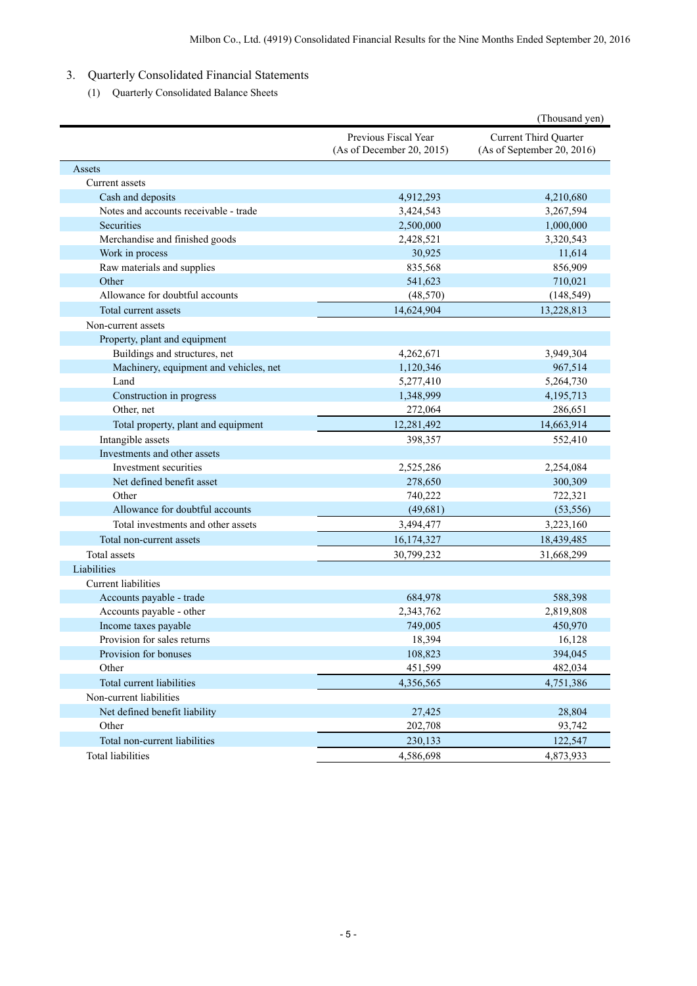# 3. Quarterly Consolidated Financial Statements

(1) Quarterly Consolidated Balance Sheets

|                                        |                                                   | (Thousand yen)                                             |
|----------------------------------------|---------------------------------------------------|------------------------------------------------------------|
|                                        | Previous Fiscal Year<br>(As of December 20, 2015) | <b>Current Third Quarter</b><br>(As of September 20, 2016) |
| Assets                                 |                                                   |                                                            |
| Current assets                         |                                                   |                                                            |
| Cash and deposits                      | 4,912,293                                         | 4,210,680                                                  |
| Notes and accounts receivable - trade  | 3,424,543                                         | 3,267,594                                                  |
| Securities                             | 2,500,000                                         | 1,000,000                                                  |
| Merchandise and finished goods         | 2,428,521                                         | 3,320,543                                                  |
| Work in process                        | 30,925                                            | 11,614                                                     |
| Raw materials and supplies             | 835,568                                           | 856,909                                                    |
| Other                                  | 541,623                                           | 710,021                                                    |
| Allowance for doubtful accounts        | (48, 570)                                         | (148, 549)                                                 |
| Total current assets                   | 14,624,904                                        | 13,228,813                                                 |
| Non-current assets                     |                                                   |                                                            |
| Property, plant and equipment          |                                                   |                                                            |
| Buildings and structures, net          | 4,262,671                                         | 3,949,304                                                  |
| Machinery, equipment and vehicles, net | 1,120,346                                         | 967,514                                                    |
| Land                                   | 5,277,410                                         | 5,264,730                                                  |
| Construction in progress               | 1,348,999                                         | 4,195,713                                                  |
| Other, net                             | 272,064                                           | 286,651                                                    |
| Total property, plant and equipment    | 12,281,492                                        | 14,663,914                                                 |
| Intangible assets                      | 398,357                                           | 552,410                                                    |
| Investments and other assets           |                                                   |                                                            |
| Investment securities                  | 2,525,286                                         | 2,254,084                                                  |
| Net defined benefit asset              | 278,650                                           | 300,309                                                    |
| Other                                  | 740,222                                           | 722,321                                                    |
| Allowance for doubtful accounts        | (49,681)                                          | (53, 556)                                                  |
| Total investments and other assets     | 3,494,477                                         | 3,223,160                                                  |
| Total non-current assets               | 16,174,327                                        | 18,439,485                                                 |
| Total assets                           | 30,799,232                                        | 31,668,299                                                 |
| Liabilities                            |                                                   |                                                            |
| Current liabilities                    |                                                   |                                                            |
| Accounts payable - trade               | 684,978                                           | 588,398                                                    |
| Accounts payable - other               | 2,343,762                                         | 2,819,808                                                  |
| Income taxes payable                   | 749,005                                           | 450,970                                                    |
| Provision for sales returns            | 18,394                                            | 16,128                                                     |
| Provision for bonuses                  | 108,823                                           | 394,045                                                    |
| Other                                  | 451,599                                           | 482,034                                                    |
| Total current liabilities              | 4,356,565                                         | 4,751,386                                                  |
| Non-current liabilities                |                                                   |                                                            |
| Net defined benefit liability          | 27,425                                            | 28,804                                                     |
| Other                                  | 202,708                                           | 93,742                                                     |
| Total non-current liabilities          | 230,133                                           | 122,547                                                    |
| Total liabilities                      | 4,586,698                                         | 4,873,933                                                  |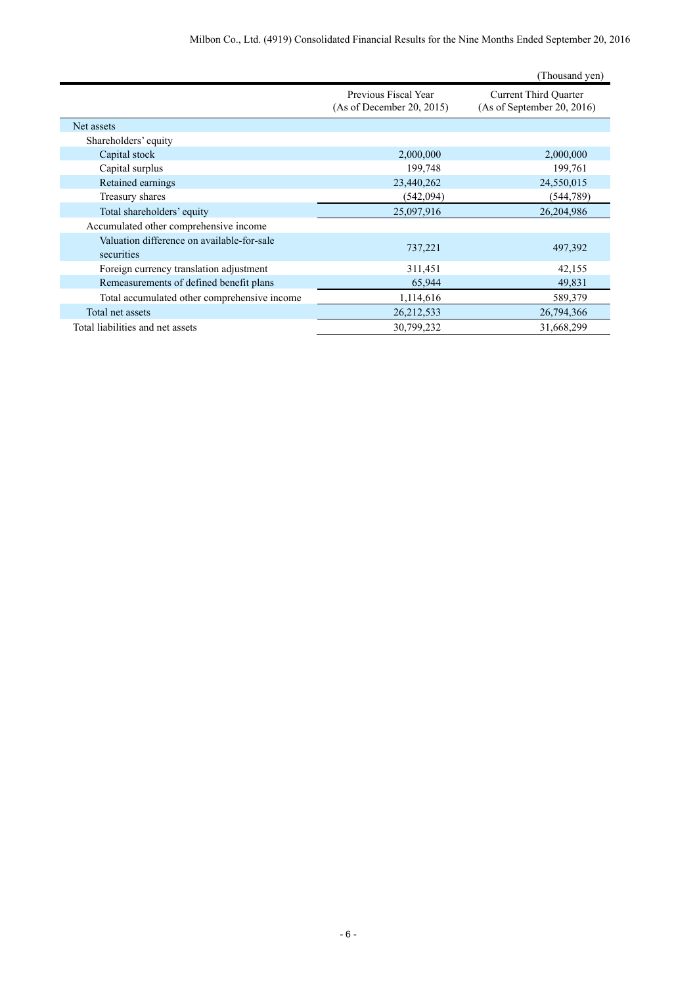|                                                          |                                                   | (Thousand yen)                                             |
|----------------------------------------------------------|---------------------------------------------------|------------------------------------------------------------|
|                                                          | Previous Fiscal Year<br>(As of December 20, 2015) | <b>Current Third Quarter</b><br>(As of September 20, 2016) |
| Net assets                                               |                                                   |                                                            |
| Shareholders' equity                                     |                                                   |                                                            |
| Capital stock                                            | 2,000,000                                         | 2,000,000                                                  |
| Capital surplus                                          | 199,748                                           | 199,761                                                    |
| Retained earnings                                        | 23,440,262                                        | 24,550,015                                                 |
| Treasury shares                                          | (542,094)                                         | (544, 789)                                                 |
| Total shareholders' equity                               | 25,097,916                                        | 26,204,986                                                 |
| Accumulated other comprehensive income                   |                                                   |                                                            |
| Valuation difference on available-for-sale<br>securities | 737,221                                           | 497,392                                                    |
| Foreign currency translation adjustment                  | 311,451                                           | 42,155                                                     |
| Remeasurements of defined benefit plans                  | 65,944                                            | 49,831                                                     |
| Total accumulated other comprehensive income             | 1,114,616                                         | 589,379                                                    |
| Total net assets                                         | 26, 212, 533                                      | 26,794,366                                                 |
| Total liabilities and net assets                         | 30,799,232                                        | 31,668,299                                                 |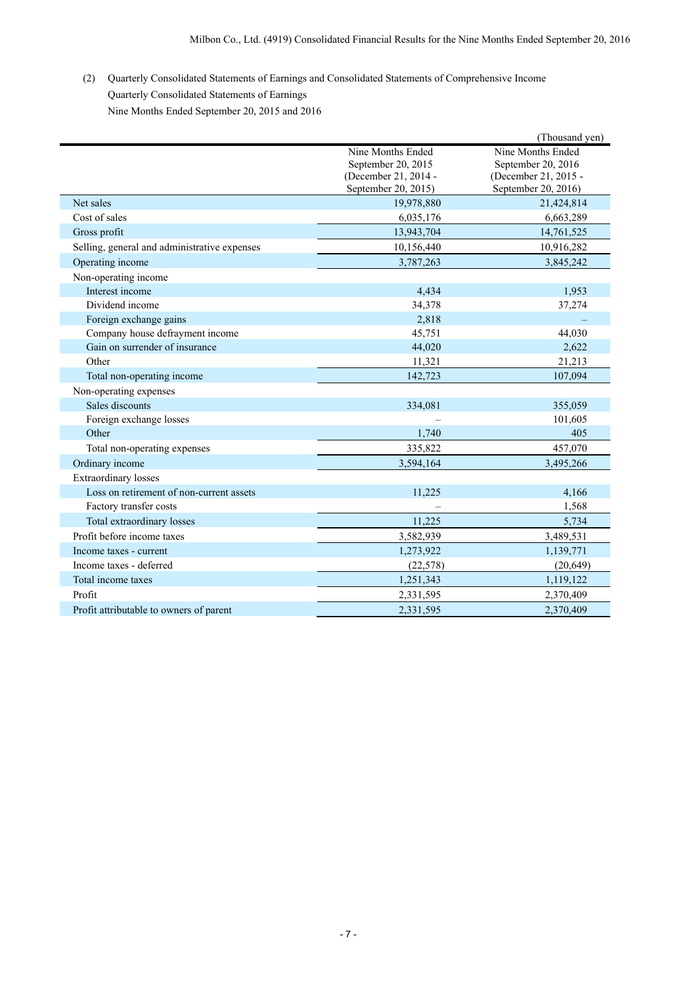(2) Quarterly Consolidated Statements of Earnings and Consolidated Statements of Comprehensive Income Quarterly Consolidated Statements of Earnings Nine Months Ended September 20, 2015 and 2016

|                                              |                      | (Thousand yen)       |
|----------------------------------------------|----------------------|----------------------|
|                                              | Nine Months Ended    | Nine Months Ended    |
|                                              | September 20, 2015   | September 20, 2016   |
|                                              | (December 21, 2014 - | (December 21, 2015 - |
|                                              | September 20, 2015)  | September 20, 2016)  |
| Net sales                                    | 19,978,880           | 21,424,814           |
| Cost of sales                                | 6,035,176            | 6,663,289            |
| Gross profit                                 | 13,943,704           | 14,761,525           |
| Selling, general and administrative expenses | 10,156,440           | 10,916,282           |
| Operating income                             | 3,787,263            | 3,845,242            |
| Non-operating income                         |                      |                      |
| Interest income                              | 4,434                | 1,953                |
| Dividend income                              | 34,378               | 37,274               |
| Foreign exchange gains                       | 2,818                |                      |
| Company house defrayment income              | 45,751               | 44,030               |
| Gain on surrender of insurance               | 44,020               | 2,622                |
| Other                                        | 11,321               | 21,213               |
| Total non-operating income                   | 142,723              | 107,094              |
| Non-operating expenses                       |                      |                      |
| Sales discounts                              | 334,081              | 355,059              |
| Foreign exchange losses                      |                      | 101,605              |
| Other                                        | 1,740                | 405                  |
| Total non-operating expenses                 | 335,822              | 457,070              |
| Ordinary income                              | 3,594,164            | 3,495,266            |
| <b>Extraordinary losses</b>                  |                      |                      |
| Loss on retirement of non-current assets     | 11,225               | 4,166                |
| Factory transfer costs                       |                      | 1,568                |
| Total extraordinary losses                   | 11,225               | 5,734                |
| Profit before income taxes                   | 3,582,939            | 3,489,531            |
| Income taxes - current                       | 1,273,922            | 1,139,771            |
| Income taxes - deferred                      | (22, 578)            | (20, 649)            |
| Total income taxes                           | 1,251,343            | 1,119,122            |
| Profit                                       | 2,331,595            | 2,370,409            |
| Profit attributable to owners of parent      | 2,331,595            | 2,370,409            |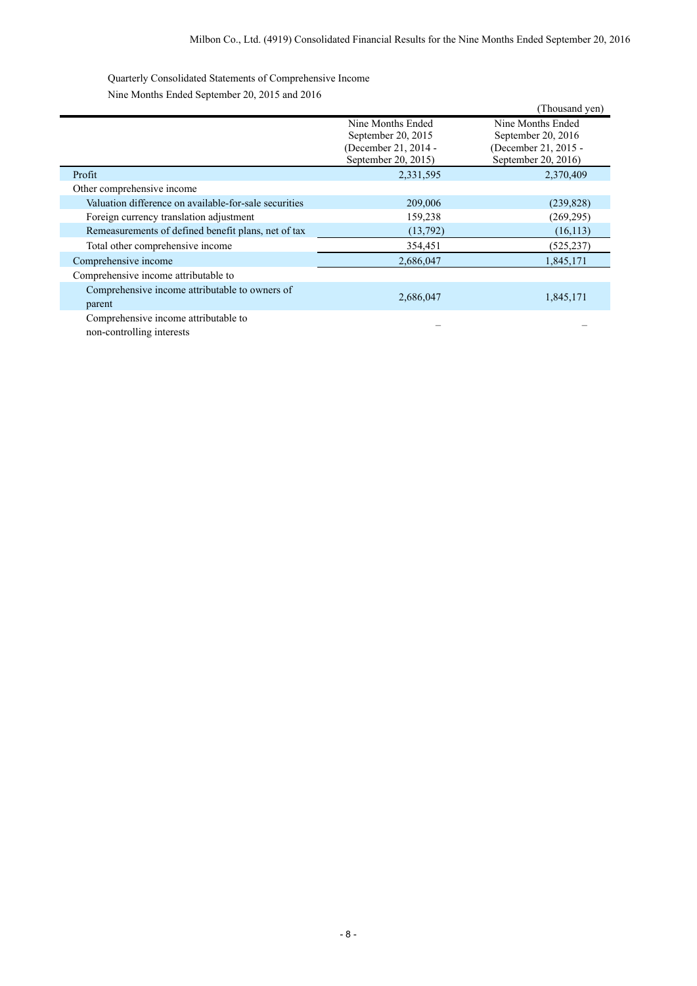Quarterly Consolidated Statements of Comprehensive Income Nine Months Ended September 20, 2015 and 2016

|                                                       |                      | (Thousand yen)       |
|-------------------------------------------------------|----------------------|----------------------|
|                                                       | Nine Months Ended    | Nine Months Ended    |
|                                                       | September 20, 2015   | September 20, 2016   |
|                                                       | (December 21, 2014 - | (December 21, 2015 - |
|                                                       | September 20, 2015)  | September 20, 2016)  |
| Profit                                                | 2,331,595            | 2,370,409            |
| Other comprehensive income                            |                      |                      |
| Valuation difference on available-for-sale securities | 209,006              | (239, 828)           |
| Foreign currency translation adjustment               | 159,238              | (269, 295)           |
| Remeasurements of defined benefit plans, net of tax   | (13,792)             | (16, 113)            |
| Total other comprehensive income                      | 354,451              | (525, 237)           |
| Comprehensive income                                  | 2,686,047            | 1,845,171            |
| Comprehensive income attributable to                  |                      |                      |
| Comprehensive income attributable to owners of        | 2,686,047            | 1,845,171            |
| parent                                                |                      |                      |
| Comprehensive income attributable to                  |                      |                      |
|                                                       |                      |                      |

non-controlling interests